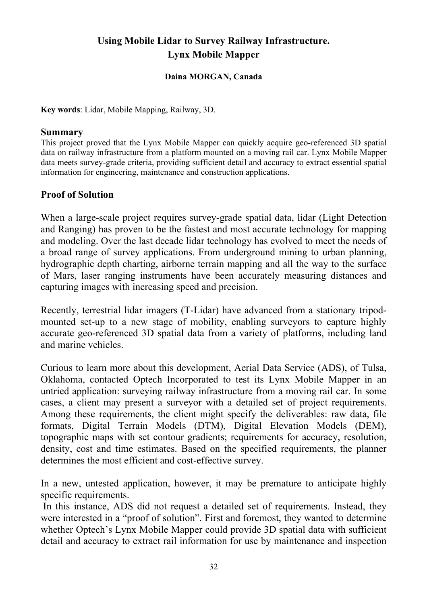# **Using Mobile Lidar to Survey Railway Infrastructure. Lynx Mobile Mapper**

#### **Daina MORGAN, Canada**

**Key words**: Lidar, Mobile Mapping, Railway, 3D.

#### **Summary**

This project proved that the Lynx Mobile Mapper can quickly acquire geo-referenced 3D spatial data on railway infrastructure from a platform mounted on a moving rail car. Lynx Mobile Mapper data meets survey-grade criteria, providing sufficient detail and accuracy to extract essential spatial information for engineering, maintenance and construction applications.

#### **Proof of Solution**

When a large-scale project requires survey-grade spatial data, lidar (Light Detection and Ranging) has proven to be the fastest and most accurate technology for mapping and modeling. Over the last decade lidar technology has evolved to meet the needs of a broad range of survey applications. From underground mining to urban planning, hydrographic depth charting, airborne terrain mapping and all the way to the surface of Mars, laser ranging instruments have been accurately measuring distances and capturing images with increasing speed and precision.

Recently, terrestrial lidar imagers (T-Lidar) have advanced from a stationary tripodmounted set-up to a new stage of mobility, enabling surveyors to capture highly accurate geo-referenced 3D spatial data from a variety of platforms, including land and marine vehicles.

Curious to learn more about this development, Aerial Data Service (ADS), of Tulsa, Oklahoma, contacted Optech Incorporated to test its Lynx Mobile Mapper in an untried application: surveying railway infrastructure from a moving rail car. In some cases, a client may present a surveyor with a detailed set of project requirements. Among these requirements, the client might specify the deliverables: raw data, file formats, Digital Terrain Models (DTM), Digital Elevation Models (DEM), topographic maps with set contour gradients; requirements for accuracy, resolution, density, cost and time estimates. Based on the specified requirements, the planner determines the most efficient and cost-effective survey.

In a new, untested application, however, it may be premature to anticipate highly specific requirements.

 In this instance, ADS did not request a detailed set of requirements. Instead, they were interested in a "proof of solution". First and foremost, they wanted to determine whether Optech's Lynx Mobile Mapper could provide 3D spatial data with sufficient detail and accuracy to extract rail information for use by maintenance and inspection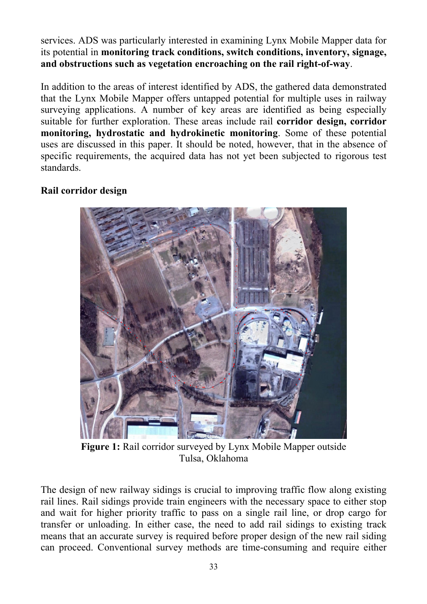services. ADS was particularly interested in examining Lynx Mobile Mapper data for its potential in **monitoring track conditions, switch conditions, inventory, signage, and obstructions such as vegetation encroaching on the rail right-of-way**.

In addition to the areas of interest identified by ADS, the gathered data demonstrated that the Lynx Mobile Mapper offers untapped potential for multiple uses in railway surveying applications. A number of key areas are identified as being especially suitable for further exploration. These areas include rail **corridor design, corridor monitoring, hydrostatic and hydrokinetic monitoring**. Some of these potential uses are discussed in this paper. It should be noted, however, that in the absence of specific requirements, the acquired data has not yet been subjected to rigorous test standards.

### **Rail corridor design**



**Figure 1:** Rail corridor surveyed by Lynx Mobile Mapper outside Tulsa, Oklahoma

The design of new railway sidings is crucial to improving traffic flow along existing rail lines. Rail sidings provide train engineers with the necessary space to either stop and wait for higher priority traffic to pass on a single rail line, or drop cargo for transfer or unloading. In either case, the need to add rail sidings to existing track means that an accurate survey is required before proper design of the new rail siding can proceed. Conventional survey methods are time-consuming and require either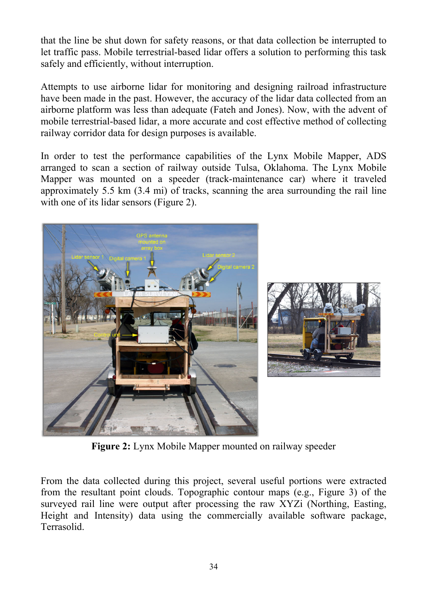that the line be shut down for safety reasons, or that data collection be interrupted to let traffic pass. Mobile terrestrial-based lidar offers a solution to performing this task safely and efficiently, without interruption.

Attempts to use airborne lidar for monitoring and designing railroad infrastructure have been made in the past. However, the accuracy of the lidar data collected from an airborne platform was less than adequate (Fateh and Jones). Now, with the advent of mobile terrestrial-based lidar, a more accurate and cost effective method of collecting railway corridor data for design purposes is available.

In order to test the performance capabilities of the Lynx Mobile Mapper, ADS arranged to scan a section of railway outside Tulsa, Oklahoma. The Lynx Mobile Mapper was mounted on a speeder (track-maintenance car) where it traveled approximately 5.5 km (3.4 mi) of tracks, scanning the area surrounding the rail line with one of its lidar sensors (Figure 2).





**Figure 2:** Lynx Mobile Mapper mounted on railway speeder

From the data collected during this project, several useful portions were extracted from the resultant point clouds. Topographic contour maps (e.g., Figure 3) of the surveyed rail line were output after processing the raw XYZi (Northing, Easting, Height and Intensity) data using the commercially available software package, Terrasolid.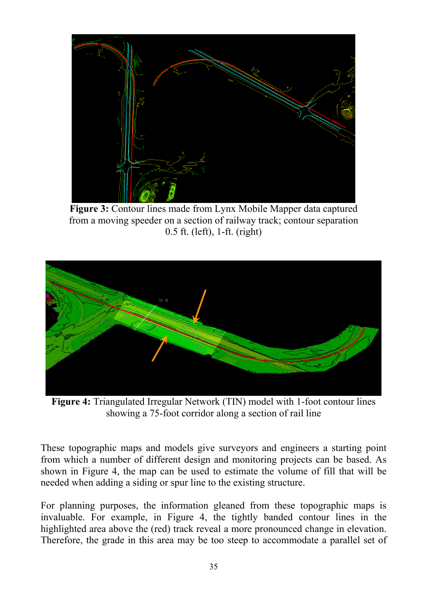

**Figure 3:** Contour lines made from Lynx Mobile Mapper data captured from a moving speeder on a section of railway track; contour separation 0.5 ft. (left), 1-ft. (right)



**Figure 4:** Triangulated Irregular Network (TIN) model with 1-foot contour lines showing a 75-foot corridor along a section of rail line

These topographic maps and models give surveyors and engineers a starting point from which a number of different design and monitoring projects can be based. As shown in Figure 4, the map can be used to estimate the volume of fill that will be needed when adding a siding or spur line to the existing structure.

For planning purposes, the information gleaned from these topographic maps is invaluable. For example, in Figure 4, the tightly banded contour lines in the highlighted area above the (red) track reveal a more pronounced change in elevation. Therefore, the grade in this area may be too steep to accommodate a parallel set of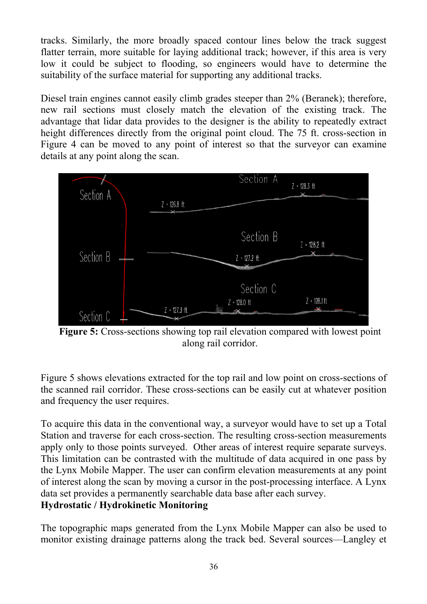tracks. Similarly, the more broadly spaced contour lines below the track suggest flatter terrain, more suitable for laying additional track; however, if this area is very low it could be subject to flooding, so engineers would have to determine the suitability of the surface material for supporting any additional tracks.

Diesel train engines cannot easily climb grades steeper than 2% (Beranek); therefore, new rail sections must closely match the elevation of the existing track. The advantage that lidar data provides to the designer is the ability to repeatedly extract height differences directly from the original point cloud. The 75 ft. cross-section in Figure 4 can be moved to any point of interest so that the surveyor can examine details at any point along the scan.



**Figure 5:** Cross-sections showing top rail elevation compared with lowest point along rail corridor.

Figure 5 shows elevations extracted for the top rail and low point on cross-sections of the scanned rail corridor. These cross-sections can be easily cut at whatever position and frequency the user requires.

To acquire this data in the conventional way, a surveyor would have to set up a Total Station and traverse for each cross-section. The resulting cross-section measurements apply only to those points surveyed. Other areas of interest require separate surveys. This limitation can be contrasted with the multitude of data acquired in one pass by the Lynx Mobile Mapper. The user can confirm elevation measurements at any point of interest along the scan by moving a cursor in the post-processing interface. A Lynx data set provides a permanently searchable data base after each survey. **Hydrostatic / Hydrokinetic Monitoring** 

The topographic maps generated from the Lynx Mobile Mapper can also be used to monitor existing drainage patterns along the track bed. Several sources—Langley et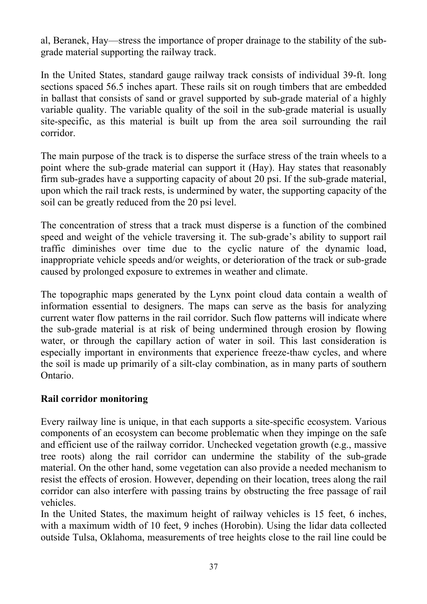al, Beranek, Hay—stress the importance of proper drainage to the stability of the subgrade material supporting the railway track.

In the United States, standard gauge railway track consists of individual 39-ft. long sections spaced 56.5 inches apart. These rails sit on rough timbers that are embedded in ballast that consists of sand or gravel supported by sub-grade material of a highly variable quality. The variable quality of the soil in the sub-grade material is usually site-specific, as this material is built up from the area soil surrounding the rail corridor.

The main purpose of the track is to disperse the surface stress of the train wheels to a point where the sub-grade material can support it (Hay). Hay states that reasonably firm sub-grades have a supporting capacity of about 20 psi. If the sub-grade material, upon which the rail track rests, is undermined by water, the supporting capacity of the soil can be greatly reduced from the 20 psi level.

The concentration of stress that a track must disperse is a function of the combined speed and weight of the vehicle traversing it. The sub-grade's ability to support rail traffic diminishes over time due to the cyclic nature of the dynamic load, inappropriate vehicle speeds and/or weights, or deterioration of the track or sub-grade caused by prolonged exposure to extremes in weather and climate.

The topographic maps generated by the Lynx point cloud data contain a wealth of information essential to designers. The maps can serve as the basis for analyzing current water flow patterns in the rail corridor. Such flow patterns will indicate where the sub-grade material is at risk of being undermined through erosion by flowing water, or through the capillary action of water in soil. This last consideration is especially important in environments that experience freeze-thaw cycles, and where the soil is made up primarily of a silt-clay combination, as in many parts of southern Ontario.

### **Rail corridor monitoring**

Every railway line is unique, in that each supports a site-specific ecosystem. Various components of an ecosystem can become problematic when they impinge on the safe and efficient use of the railway corridor. Unchecked vegetation growth (e.g., massive tree roots) along the rail corridor can undermine the stability of the sub-grade material. On the other hand, some vegetation can also provide a needed mechanism to resist the effects of erosion. However, depending on their location, trees along the rail corridor can also interfere with passing trains by obstructing the free passage of rail vehicles.

In the United States, the maximum height of railway vehicles is 15 feet, 6 inches, with a maximum width of 10 feet, 9 inches (Horobin). Using the lidar data collected outside Tulsa, Oklahoma, measurements of tree heights close to the rail line could be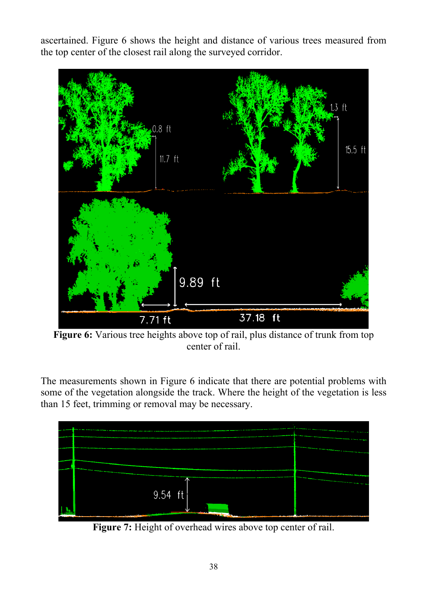ascertained. Figure 6 shows the height and distance of various trees measured from the top center of the closest rail along the surveyed corridor.



**Figure 6:** Various tree heights above top of rail, plus distance of trunk from top center of rail.

The measurements shown in Figure 6 indicate that there are potential problems with some of the vegetation alongside the track. Where the height of the vegetation is less than 15 feet, trimming or removal may be necessary.



Figure 7: Height of overhead wires above top center of rail.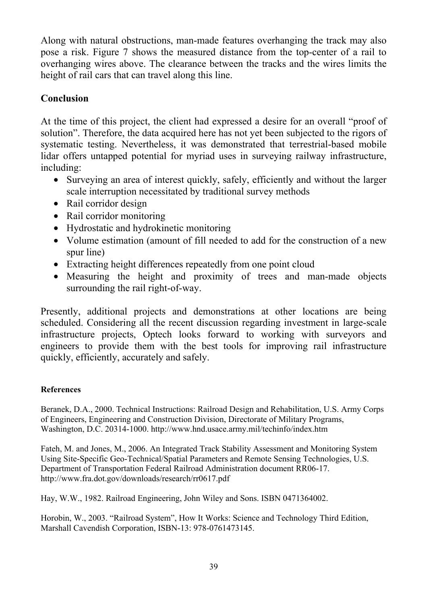Along with natural obstructions, man-made features overhanging the track may also pose a risk. Figure 7 shows the measured distance from the top-center of a rail to overhanging wires above. The clearance between the tracks and the wires limits the height of rail cars that can travel along this line.

## **Conclusion**

At the time of this project, the client had expressed a desire for an overall "proof of solution". Therefore, the data acquired here has not yet been subjected to the rigors of systematic testing. Nevertheless, it was demonstrated that terrestrial-based mobile lidar offers untapped potential for myriad uses in surveying railway infrastructure, including:

- Surveying an area of interest quickly, safely, efficiently and without the larger scale interruption necessitated by traditional survey methods
- Rail corridor design
- Rail corridor monitoring
- Hydrostatic and hydrokinetic monitoring
- Volume estimation (amount of fill needed to add for the construction of a new spur line)
- Extracting height differences repeatedly from one point cloud
- Measuring the height and proximity of trees and man-made objects surrounding the rail right-of-way.

Presently, additional projects and demonstrations at other locations are being scheduled. Considering all the recent discussion regarding investment in large-scale infrastructure projects, Optech looks forward to working with surveyors and engineers to provide them with the best tools for improving rail infrastructure quickly, efficiently, accurately and safely.

#### **References**

Beranek, D.A., 2000. Technical Instructions: Railroad Design and Rehabilitation, U.S. Army Corps of Engineers, Engineering and Construction Division, Directorate of Military Programs, Washington, D.C. 20314-1000. http://www.hnd.usace.army.mil/techinfo/index.htm

Fateh, M. and Jones, M., 2006. An Integrated Track Stability Assessment and Monitoring System Using Site-Specific Geo-Technical/Spatial Parameters and Remote Sensing Technologies, U.S. Department of Transportation Federal Railroad Administration document RR06-17. http://www.fra.dot.gov/downloads/research/rr0617.pdf

Hay, W.W., 1982. Railroad Engineering, John Wiley and Sons. ISBN 0471364002.

Horobin, W., 2003. "Railroad System", How It Works: Science and Technology Third Edition, Marshall Cavendish Corporation, ISBN-13: 978-0761473145.